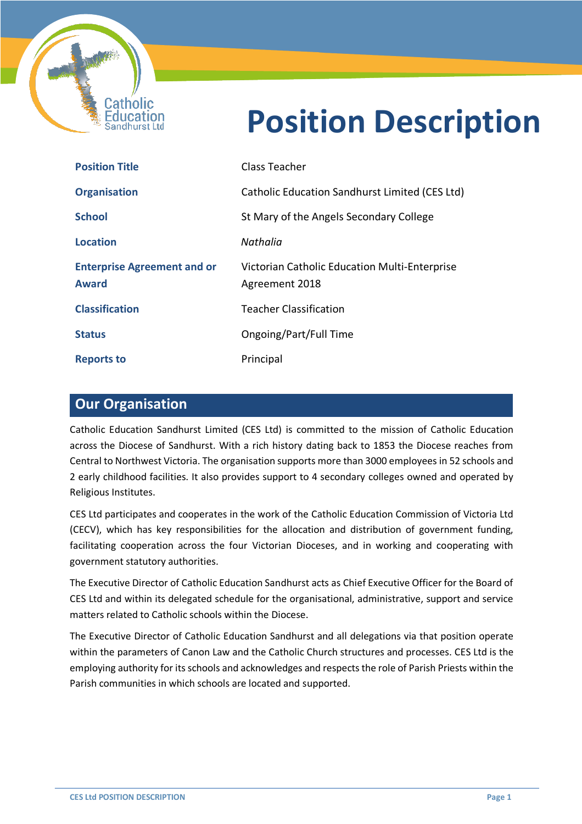

# **Position Description**

i

| <b>Position Title</b>                              | Class Teacher                                                   |
|----------------------------------------------------|-----------------------------------------------------------------|
| <b>Organisation</b>                                | Catholic Education Sandhurst Limited (CES Ltd)                  |
| <b>School</b>                                      | St Mary of the Angels Secondary College                         |
| Location                                           | Nathalia                                                        |
| <b>Enterprise Agreement and or</b><br><b>Award</b> | Victorian Catholic Education Multi-Enterprise<br>Agreement 2018 |
| <b>Classification</b>                              | Teacher Classification                                          |
| <b>Status</b>                                      | Ongoing/Part/Full Time                                          |
| <b>Reports to</b>                                  | Principal                                                       |

## **Our Organisation**

Catholic Education Sandhurst Limited (CES Ltd) is committed to the mission of Catholic Education across the Diocese of Sandhurst. With a rich history dating back to 1853 the Diocese reaches from Central to Northwest Victoria. The organisation supports more than 3000 employees in 52 schools and 2 early childhood facilities. It also provides support to 4 secondary colleges owned and operated by Religious Institutes.

CES Ltd participates and cooperates in the work of the Catholic Education Commission of Victoria Ltd (CECV), which has key responsibilities for the allocation and distribution of government funding, facilitating cooperation across the four Victorian Dioceses, and in working and cooperating with government statutory authorities.

The Executive Director of Catholic Education Sandhurst acts as Chief Executive Officer for the Board of CES Ltd and within its delegated schedule for the organisational, administrative, support and service matters related to Catholic schools within the Diocese.

The Executive Director of Catholic Education Sandhurst and all delegations via that position operate within the parameters of Canon Law and the Catholic Church structures and processes. CES Ltd is the employing authority for its schools and acknowledges and respects the role of Parish Priests within the Parish communities in which schools are located and supported.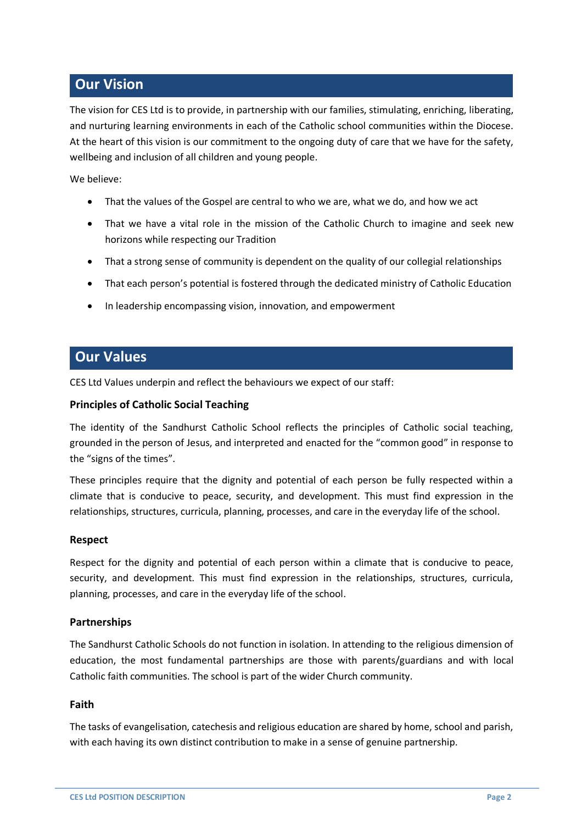# **Our Vision**

The vision for CES Ltd is to provide, in partnership with our families, stimulating, enriching, liberating, and nurturing learning environments in each of the Catholic school communities within the Diocese. At the heart of this vision is our commitment to the ongoing duty of care that we have for the safety, wellbeing and inclusion of all children and young people.

We believe:

- That the values of the Gospel are central to who we are, what we do, and how we act
- That we have a vital role in the mission of the Catholic Church to imagine and seek new horizons while respecting our Tradition
- That a strong sense of community is dependent on the quality of our collegial relationships
- That each person's potential is fostered through the dedicated ministry of Catholic Education
- In leadership encompassing vision, innovation, and empowerment

## **Our Values**

CES Ltd Values underpin and reflect the behaviours we expect of our staff:

#### **Principles of Catholic Social Teaching**

The identity of the Sandhurst Catholic School reflects the principles of Catholic social teaching, grounded in the person of Jesus, and interpreted and enacted for the "common good" in response to the "signs of the times".

These principles require that the dignity and potential of each person be fully respected within a climate that is conducive to peace, security, and development. This must find expression in the relationships, structures, curricula, planning, processes, and care in the everyday life of the school.

#### **Respect**

Respect for the dignity and potential of each person within a climate that is conducive to peace, security, and development. This must find expression in the relationships, structures, curricula, planning, processes, and care in the everyday life of the school.

#### **Partnerships**

The Sandhurst Catholic Schools do not function in isolation. In attending to the religious dimension of education, the most fundamental partnerships are those with parents/guardians and with local Catholic faith communities. The school is part of the wider Church community.

#### **Faith**

The tasks of evangelisation, catechesis and religious education are shared by home, school and parish, with each having its own distinct contribution to make in a sense of genuine partnership.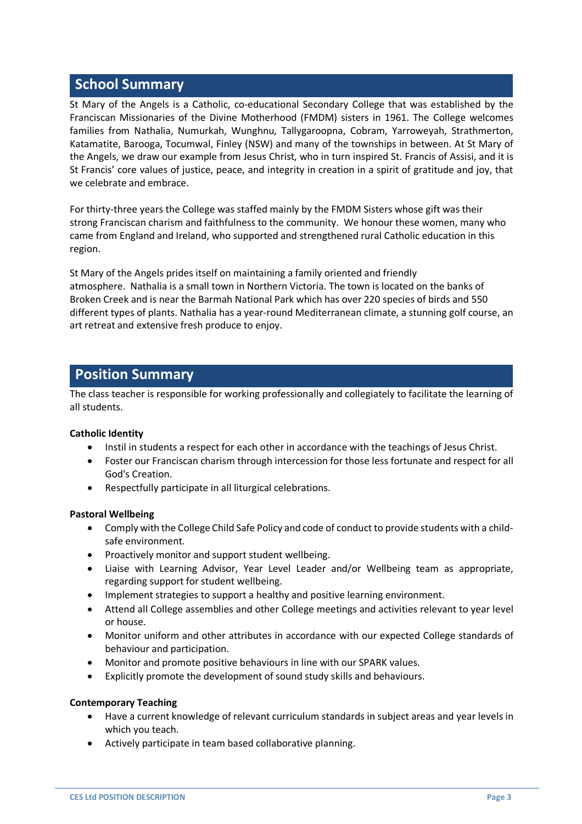# **School Summary**

St Mary of the Angels is a Catholic, co-educational Secondary College that was established by the Franciscan Missionaries of the Divine Motherhood (FMDM) sisters in 1961. The College welcomes families from Nathalia, Numurkah, Wunghnu, Tallygaroopna, Cobram, Yarroweyah, Strathmerton, Katamatite, Barooga, Tocumwal, Finley (NSW) and many of the townships in between. At St Mary of the Angels, we draw our example from Jesus Christ, who in turn inspired St. Francis of Assisi, and it is St Francis' core values of justice, peace, and integrity in creation in a spirit of gratitude and joy, that we celebrate and embrace.

For thirty-three years the College was staffed mainly by the FMDM Sisters whose gift was their strong Franciscan charism and faithfulness to the community. We honour these women, many who came from England and Ireland, who supported and strengthened rural Catholic education in this region.

St Mary of the Angels prides itself on maintaining a family oriented and friendly atmosphere. Nathalia is a small town in Northern Victoria. The town is located on the banks of Broken Creek and is near the Barmah National Park which has over 220 species of birds and 550 different types of plants. Nathalia has a year-round Mediterranean climate, a stunning golf course, an art retreat and extensive fresh produce to enjoy.

## **Position Summary**

The class teacher is responsible for working professionally and collegiately to facilitate the learning of all students.

#### **Catholic Identity**

- Instil in students a respect for each other in accordance with the teachings of Jesus Christ.
- Foster our Franciscan charism through intercession for those less fortunate and respect for all God's Creation.
- Respectfully participate in all liturgical celebrations.

#### **Pastoral Wellbeing**

- Comply with the College Child Safe Policy and code of conduct to provide students with a childsafe environment.
- Proactively monitor and support student wellbeing.
- Liaise with Learning Advisor, Year Level Leader and/or Wellbeing team as appropriate, regarding support for student wellbeing.
- Implement strategies to support a healthy and positive learning environment.
- Attend all College assemblies and other College meetings and activities relevant to year level or house.
- Monitor uniform and other attributes in accordance with our expected College standards of behaviour and participation.
- Monitor and promote positive behaviours in line with our SPARK values.
- Explicitly promote the development of sound study skills and behaviours.

#### **Contemporary Teaching**

- Have a current knowledge of relevant curriculum standards in subject areas and year levels in which you teach.
- Actively participate in team based collaborative planning.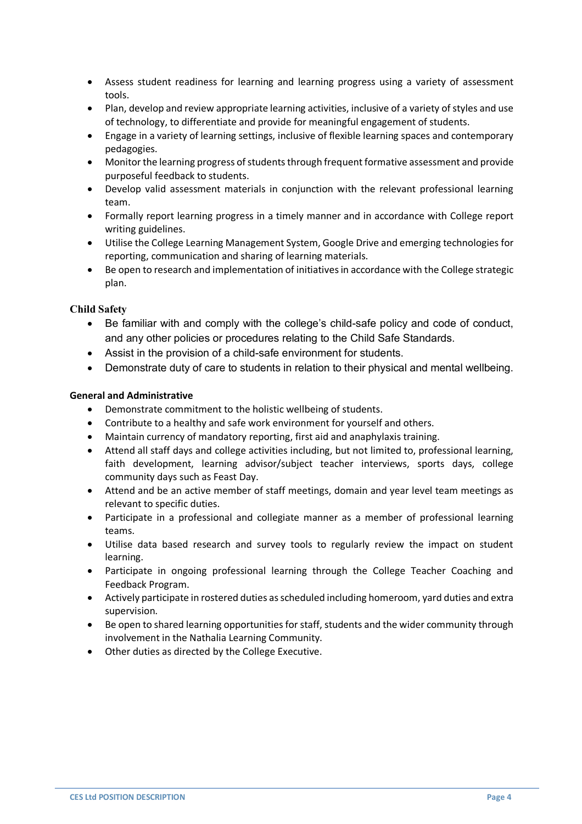- Assess student readiness for learning and learning progress using a variety of assessment tools.
- Plan, develop and review appropriate learning activities, inclusive of a variety of styles and use of technology, to differentiate and provide for meaningful engagement of students.
- Engage in a variety of learning settings, inclusive of flexible learning spaces and contemporary pedagogies.
- Monitor the learning progress of students through frequent formative assessment and provide purposeful feedback to students.
- Develop valid assessment materials in conjunction with the relevant professional learning team.
- Formally report learning progress in a timely manner and in accordance with College report writing guidelines.
- Utilise the College Learning Management System, Google Drive and emerging technologies for reporting, communication and sharing of learning materials.
- Be open to research and implementation of initiatives in accordance with the College strategic plan.

#### **Child Safety**

- Be familiar with and comply with the college's child-safe policy and code of conduct, and any other policies or procedures relating to the Child Safe Standards.
- Assist in the provision of a child-safe environment for students.
- Demonstrate duty of care to students in relation to their physical and mental wellbeing.

#### **General and Administrative**

- Demonstrate commitment to the holistic wellbeing of students.
- Contribute to a healthy and safe work environment for yourself and others.
- Maintain currency of mandatory reporting, first aid and anaphylaxis training.
- Attend all staff days and college activities including, but not limited to, professional learning, faith development, learning advisor/subject teacher interviews, sports days, college community days such as Feast Day.
- Attend and be an active member of staff meetings, domain and year level team meetings as relevant to specific duties.
- Participate in a professional and collegiate manner as a member of professional learning teams.
- Utilise data based research and survey tools to regularly review the impact on student learning.
- Participate in ongoing professional learning through the College Teacher Coaching and Feedback Program.
- Actively participate in rostered duties as scheduled including homeroom, yard duties and extra supervision.
- Be open to shared learning opportunities for staff, students and the wider community through involvement in the Nathalia Learning Community.
- Other duties as directed by the College Executive.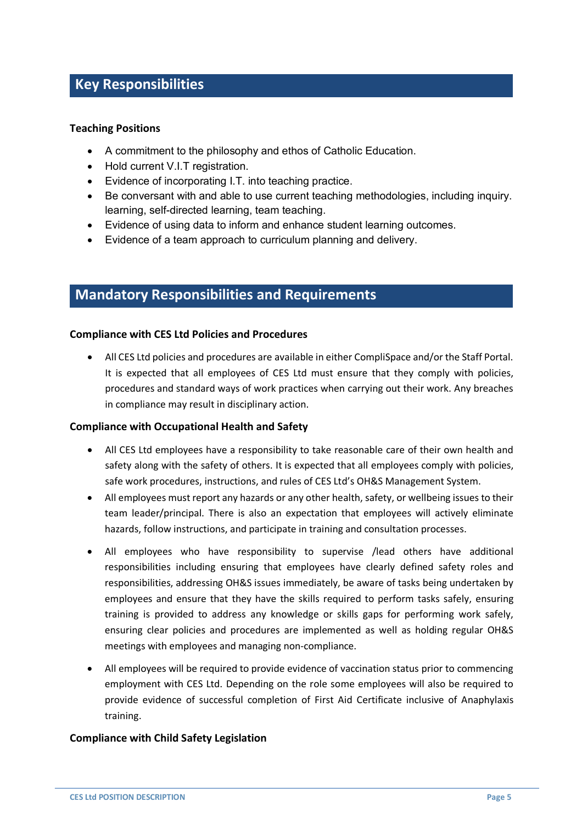## **Key Responsibilities**

#### **Teaching Positions**

- A commitment to the philosophy and ethos of Catholic Education.
- Hold current V.I.T registration.
- Evidence of incorporating I.T. into teaching practice.
- Be conversant with and able to use current teaching methodologies, including inquiry. learning, self-directed learning, team teaching.
- Evidence of using data to inform and enhance student learning outcomes.
- Evidence of a team approach to curriculum planning and delivery.

## **Mandatory Responsibilities and Requirements**

#### **Compliance with CES Ltd Policies and Procedures**

• All CES Ltd policies and procedures are available in either CompliSpace and/or the Staff Portal. It is expected that all employees of CES Ltd must ensure that they comply with policies, procedures and standard ways of work practices when carrying out their work. Any breaches in compliance may result in disciplinary action.

#### **Compliance with Occupational Health and Safety**

- All CES Ltd employees have a responsibility to take reasonable care of their own health and safety along with the safety of others. It is expected that all employees comply with policies, safe work procedures, instructions, and rules of CES Ltd's OH&S Management System.
- All employees must report any hazards or any other health, safety, or wellbeing issues to their team leader/principal. There is also an expectation that employees will actively eliminate hazards, follow instructions, and participate in training and consultation processes.
- All employees who have responsibility to supervise /lead others have additional responsibilities including ensuring that employees have clearly defined safety roles and responsibilities, addressing OH&S issues immediately, be aware of tasks being undertaken by employees and ensure that they have the skills required to perform tasks safely, ensuring training is provided to address any knowledge or skills gaps for performing work safely, ensuring clear policies and procedures are implemented as well as holding regular OH&S meetings with employees and managing non-compliance.
- All employees will be required to provide evidence of vaccination status prior to commencing employment with CES Ltd. Depending on the role some employees will also be required to provide evidence of successful completion of First Aid Certificate inclusive of Anaphylaxis training.

#### **Compliance with Child Safety Legislation**